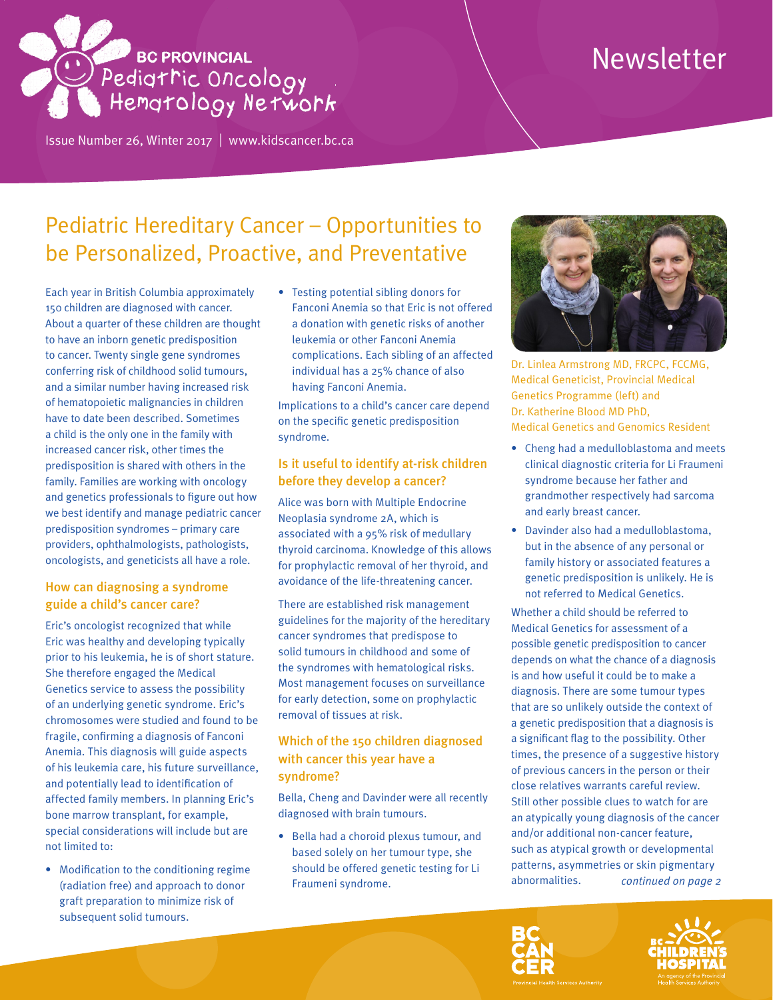# Newsletter



Issue Number 26, Winter 2017 | <www.kidscancer.bc.ca>

# Pediatric Hereditary Cancer – Opportunities to be Personalized, Proactive, and Preventative

Each year in British Columbia approximately 150 children are diagnosed with cancer. About a quarter of these children are thought to have an inborn genetic predisposition to cancer. Twenty single gene syndromes conferring risk of childhood solid tumours, and a similar number having increased risk of hematopoietic malignancies in children have to date been described. Sometimes a child is the only one in the family with increased cancer risk, other times the predisposition is shared with others in the family. Families are working with oncology and genetics professionals to figure out how we best identify and manage pediatric cancer predisposition syndromes – primary care providers, ophthalmologists, pathologists, oncologists, and geneticists all have a role.

# How can diagnosing a syndrome guide a child's cancer care?

Eric's oncologist recognized that while Eric was healthy and developing typically prior to his leukemia, he is of short stature. She therefore engaged the Medical Genetics service to assess the possibility of an underlying genetic syndrome. Eric's chromosomes were studied and found to be fragile, confirming a diagnosis of Fanconi Anemia. This diagnosis will guide aspects of his leukemia care, his future surveillance, and potentially lead to identification of affected family members. In planning Eric's bone marrow transplant, for example, special considerations will include but are not limited to:

• Modification to the conditioning regime (radiation free) and approach to donor graft preparation to minimize risk of subsequent solid tumours.

• Testing potential sibling donors for Fanconi Anemia so that Eric is not offered a donation with genetic risks of another leukemia or other Fanconi Anemia complications. Each sibling of an affected individual has a 25% chance of also having Fanconi Anemia.

Implications to a child's cancer care depend on the specific genetic predisposition syndrome.

# Is it useful to identify at-risk children before they develop a cancer?

Alice was born with Multiple Endocrine Neoplasia syndrome 2A, which is associated with a 95% risk of medullary thyroid carcinoma. Knowledge of this allows for prophylactic removal of her thyroid, and avoidance of the life-threatening cancer.

There are established risk management guidelines for the majority of the hereditary cancer syndromes that predispose to solid tumours in childhood and some of the syndromes with hematological risks. Most management focuses on surveillance for early detection, some on prophylactic removal of tissues at risk.

# Which of the 150 children diagnosed with cancer this year have a syndrome?

Bella, Cheng and Davinder were all recently diagnosed with brain tumours.

• Bella had a choroid plexus tumour, and based solely on her tumour type, she should be offered genetic testing for Li Fraumeni syndrome.



Dr. Linlea Armstrong MD, FRCPC, FCCMG, Medical Geneticist, Provincial Medical Genetics Programme (left) and Dr. Katherine Blood MD PhD, Medical Genetics and Genomics Resident

- Cheng had a medulloblastoma and meets clinical diagnostic criteria for Li Fraumeni syndrome because her father and grandmother respectively had sarcoma and early breast cancer.
- Davinder also had a medulloblastoma, but in the absence of any personal or family history or associated features a genetic predisposition is unlikely. He is not referred to Medical Genetics.

Whether a child should be referred to Medical Genetics for assessment of a possible genetic predisposition to cancer depends on what the chance of a diagnosis is and how useful it could be to make a diagnosis. There are some tumour types that are so unlikely outside the context of a genetic predisposition that a diagnosis is a significant flag to the possibility. Other times, the presence of a suggestive history of previous cancers in the person or their close relatives warrants careful review. Still other possible clues to watch for are an atypically young diagnosis of the cancer and/or additional non-cancer feature, such as atypical growth or developmental patterns, asymmetries or skin pigmentary abnormalities. *continued on page 2*



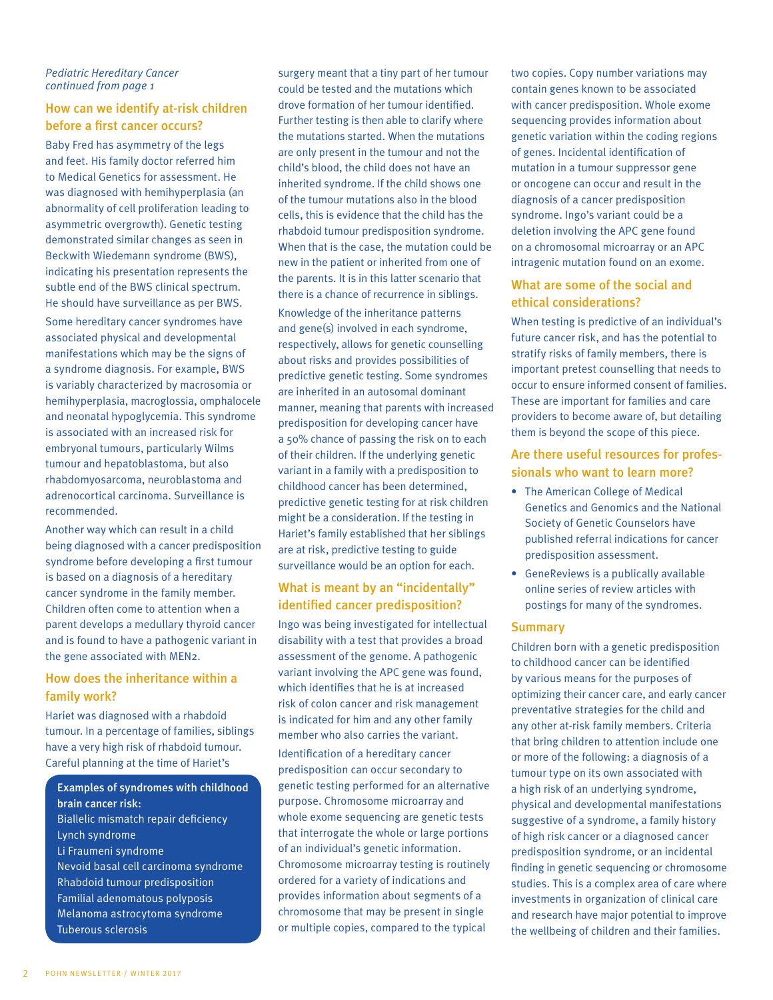#### *Pediatric Hereditary Cancer continued from page 1*

# How can we identify at-risk children before a first cancer occurs?

Baby Fred has asymmetry of the legs and feet. His family doctor referred him to Medical Genetics for assessment. He was diagnosed with hemihyperplasia (an abnormality of cell proliferation leading to asymmetric overgrowth). Genetic testing demonstrated similar changes as seen in Beckwith Wiedemann syndrome (BWS), indicating his presentation represents the subtle end of the BWS clinical spectrum. He should have surveillance as per BWS.

Some hereditary cancer syndromes have associated physical and developmental manifestations which may be the signs of a syndrome diagnosis. For example, BWS is variably characterized by macrosomia or hemihyperplasia, macroglossia, omphalocele and neonatal hypoglycemia. This syndrome is associated with an increased risk for embryonal tumours, particularly Wilms tumour and hepatoblastoma, but also rhabdomyosarcoma, neuroblastoma and adrenocortical carcinoma. Surveillance is recommended.

Another way which can result in a child being diagnosed with a cancer predisposition syndrome before developing a first tumour is based on a diagnosis of a hereditary cancer syndrome in the family member. Children often come to attention when a parent develops a medullary thyroid cancer and is found to have a pathogenic variant in the gene associated with MEN2.

# How does the inheritance within a family work?

Hariet was diagnosed with a rhabdoid tumour. In a percentage of families, siblings have a very high risk of rhabdoid tumour. Careful planning at the time of Hariet's

Examples of syndromes with childhood brain cancer risk: Biallelic mismatch repair deficiency Lynch syndrome Li Fraumeni syndrome Nevoid basal cell carcinoma syndrome Rhabdoid tumour predisposition Familial adenomatous polyposis Melanoma astrocytoma syndrome Tuberous sclerosis

surgery meant that a tiny part of her tumour could be tested and the mutations which drove formation of her tumour identified. Further testing is then able to clarify where the mutations started. When the mutations are only present in the tumour and not the child's blood, the child does not have an inherited syndrome. If the child shows one of the tumour mutations also in the blood cells, this is evidence that the child has the rhabdoid tumour predisposition syndrome. When that is the case, the mutation could be new in the patient or inherited from one of the parents. It is in this latter scenario that there is a chance of recurrence in siblings. Knowledge of the inheritance patterns and gene(s) involved in each syndrome, respectively, allows for genetic counselling

about risks and provides possibilities of predictive genetic testing. Some syndromes are inherited in an autosomal dominant manner, meaning that parents with increased predisposition for developing cancer have a 50% chance of passing the risk on to each of their children. If the underlying genetic variant in a family with a predisposition to childhood cancer has been determined, predictive genetic testing for at risk children might be a consideration. If the testing in Hariet's family established that her siblings are at risk, predictive testing to guide surveillance would be an option for each.

# What is meant by an "incidentally" identified cancer predisposition?

Ingo was being investigated for intellectual disability with a test that provides a broad assessment of the genome. A pathogenic variant involving the APC gene was found, which identifies that he is at increased risk of colon cancer and risk management is indicated for him and any other family member who also carries the variant. Identification of a hereditary cancer predisposition can occur secondary to genetic testing performed for an alternative purpose. Chromosome microarray and whole exome sequencing are genetic tests that interrogate the whole or large portions of an individual's genetic information. Chromosome microarray testing is routinely ordered for a variety of indications and provides information about segments of a chromosome that may be present in single or multiple copies, compared to the typical

two copies. Copy number variations may contain genes known to be associated with cancer predisposition. Whole exome sequencing provides information about genetic variation within the coding regions of genes. Incidental identification of mutation in a tumour suppressor gene or oncogene can occur and result in the diagnosis of a cancer predisposition syndrome. Ingo's variant could be a deletion involving the APC gene found on a chromosomal microarray or an APC intragenic mutation found on an exome.

# What are some of the social and ethical considerations?

When testing is predictive of an individual's future cancer risk, and has the potential to stratify risks of family members, there is important pretest counselling that needs to occur to ensure informed consent of families. These are important for families and care providers to become aware of, but detailing them is beyond the scope of this piece.

# Are there useful resources for professionals who want to learn more?

- The American College of Medical Genetics and Genomics and the National Society of Genetic Counselors have published referral indications for cancer predisposition assessment.
- GeneReviews is a publically available online series of review articles with postings for many of the syndromes.

#### **Summary**

Children born with a genetic predisposition to childhood cancer can be identified by various means for the purposes of optimizing their cancer care, and early cancer preventative strategies for the child and any other at-risk family members. Criteria that bring children to attention include one or more of the following: a diagnosis of a tumour type on its own associated with a high risk of an underlying syndrome, physical and developmental manifestations suggestive of a syndrome, a family history of high risk cancer or a diagnosed cancer predisposition syndrome, or an incidental finding in genetic sequencing or chromosome studies. This is a complex area of care where investments in organization of clinical care and research have major potential to improve the wellbeing of children and their families.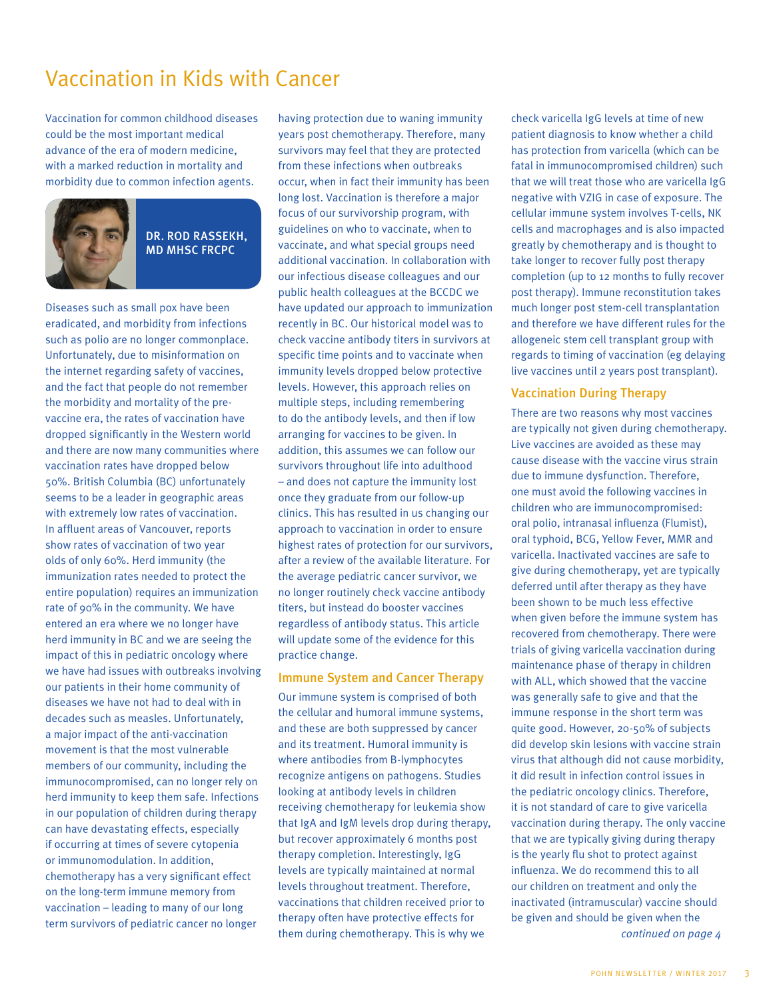# Vaccination in Kids with Cancer

Vaccination for common childhood diseases could be the most important medical advance of the era of modern medicine, with a marked reduction in mortality and morbidity due to common infection agents.



#### DR. ROD RASSEKH, MD MHSC FRCPC

Diseases such as small pox have been eradicated, and morbidity from infections such as polio are no longer commonplace. Unfortunately, due to misinformation on the internet regarding safety of vaccines, and the fact that people do not remember the morbidity and mortality of the prevaccine era, the rates of vaccination have dropped significantly in the Western world and there are now many communities where vaccination rates have dropped below 50%. British Columbia (BC) unfortunately seems to be a leader in geographic areas with extremely low rates of vaccination. In affluent areas of Vancouver, reports show rates of vaccination of two year olds of only 60%. Herd immunity (the immunization rates needed to protect the entire population) requires an immunization rate of 90% in the community. We have entered an era where we no longer have herd immunity in BC and we are seeing the impact of this in pediatric oncology where we have had issues with outbreaks involving our patients in their home community of diseases we have not had to deal with in decades such as measles. Unfortunately, a major impact of the anti-vaccination movement is that the most vulnerable members of our community, including the immunocompromised, can no longer rely on herd immunity to keep them safe. Infections in our population of children during therapy can have devastating effects, especially if occurring at times of severe cytopenia or immunomodulation. In addition, chemotherapy has a very significant effect on the long-term immune memory from vaccination – leading to many of our long term survivors of pediatric cancer no longer

having protection due to waning immunity years post chemotherapy. Therefore, many survivors may feel that they are protected from these infections when outbreaks occur, when in fact their immunity has been long lost. Vaccination is therefore a major focus of our survivorship program, with guidelines on who to vaccinate, when to vaccinate, and what special groups need additional vaccination. In collaboration with our infectious disease colleagues and our public health colleagues at the BCCDC we have updated our approach to immunization recently in BC. Our historical model was to check vaccine antibody titers in survivors at specific time points and to vaccinate when immunity levels dropped below protective levels. However, this approach relies on multiple steps, including remembering to do the antibody levels, and then if low arranging for vaccines to be given. In addition, this assumes we can follow our survivors throughout life into adulthood – and does not capture the immunity lost once they graduate from our follow-up clinics. This has resulted in us changing our approach to vaccination in order to ensure highest rates of protection for our survivors, after a review of the available literature. For the average pediatric cancer survivor, we no longer routinely check vaccine antibody titers, but instead do booster vaccines regardless of antibody status. This article will update some of the evidence for this practice change.

#### Immune System and Cancer Therapy

Our immune system is comprised of both the cellular and humoral immune systems, and these are both suppressed by cancer and its treatment. Humoral immunity is where antibodies from B-lymphocytes recognize antigens on pathogens. Studies looking at antibody levels in children receiving chemotherapy for leukemia show that IgA and IgM levels drop during therapy, but recover approximately 6 months post therapy completion. Interestingly, IgG levels are typically maintained at normal levels throughout treatment. Therefore, vaccinations that children received prior to therapy often have protective effects for them during chemotherapy. This is why we

check varicella IgG levels at time of new patient diagnosis to know whether a child has protection from varicella (which can be fatal in immunocompromised children) such that we will treat those who are varicella IgG negative with VZIG in case of exposure. The cellular immune system involves T-cells, NK cells and macrophages and is also impacted greatly by chemotherapy and is thought to take longer to recover fully post therapy completion (up to 12 months to fully recover post therapy). Immune reconstitution takes much longer post stem-cell transplantation and therefore we have different rules for the allogeneic stem cell transplant group with regards to timing of vaccination (eg delaying live vaccines until 2 years post transplant).

#### Vaccination During Therapy

There are two reasons why most vaccines are typically not given during chemotherapy. Live vaccines are avoided as these may cause disease with the vaccine virus strain due to immune dysfunction. Therefore, one must avoid the following vaccines in children who are immunocompromised: oral polio, intranasal influenza (Flumist), oral typhoid, BCG, Yellow Fever, MMR and varicella. Inactivated vaccines are safe to give during chemotherapy, yet are typically deferred until after therapy as they have been shown to be much less effective when given before the immune system has recovered from chemotherapy. There were trials of giving varicella vaccination during maintenance phase of therapy in children with ALL, which showed that the vaccine was generally safe to give and that the immune response in the short term was quite good. However, 20-50% of subjects did develop skin lesions with vaccine strain virus that although did not cause morbidity, it did result in infection control issues in the pediatric oncology clinics. Therefore, it is not standard of care to give varicella vaccination during therapy. The only vaccine that we are typically giving during therapy is the yearly flu shot to protect against influenza. We do recommend this to all our children on treatment and only the inactivated (intramuscular) vaccine should be given and should be given when the *continued on page 4*